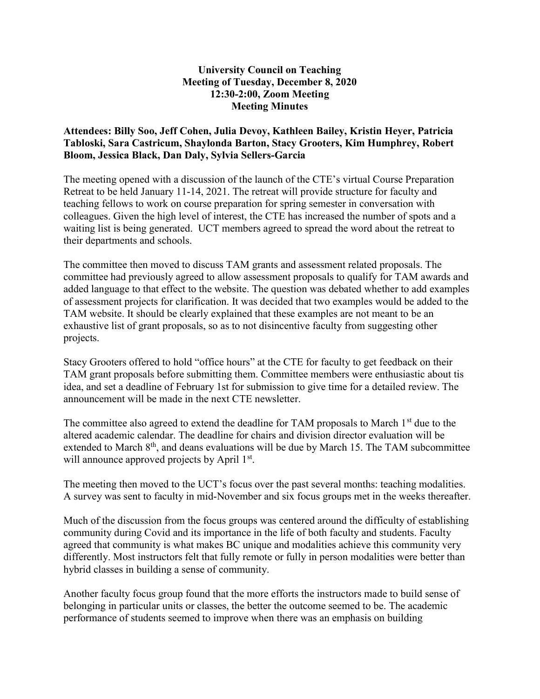## University Council on Teaching Meeting of Tuesday, December 8, 2020 12:30-2:00, Zoom Meeting Meeting Minutes

## Attendees: Billy Soo, Jeff Cohen, Julia Devoy, Kathleen Bailey, Kristin Heyer, Patricia Tabloski, Sara Castricum, Shaylonda Barton, Stacy Grooters, Kim Humphrey, Robert Bloom, Jessica Black, Dan Daly, Sylvia Sellers-Garcia

The meeting opened with a discussion of the launch of the CTE's virtual Course Preparation Retreat to be held January 11-14, 2021. The retreat will provide structure for faculty and teaching fellows to work on course preparation for spring semester in conversation with colleagues. Given the high level of interest, the CTE has increased the number of spots and a waiting list is being generated. UCT members agreed to spread the word about the retreat to their departments and schools.

The committee then moved to discuss TAM grants and assessment related proposals. The committee had previously agreed to allow assessment proposals to qualify for TAM awards and added language to that effect to the website. The question was debated whether to add examples of assessment projects for clarification. It was decided that two examples would be added to the TAM website. It should be clearly explained that these examples are not meant to be an exhaustive list of grant proposals, so as to not disincentive faculty from suggesting other projects.

Stacy Grooters offered to hold "office hours" at the CTE for faculty to get feedback on their TAM grant proposals before submitting them. Committee members were enthusiastic about tis idea, and set a deadline of February 1st for submission to give time for a detailed review. The announcement will be made in the next CTE newsletter.

The committee also agreed to extend the deadline for TAM proposals to March  $1<sup>st</sup>$  due to the altered academic calendar. The deadline for chairs and division director evaluation will be extended to March  $8<sup>th</sup>$ , and deans evaluations will be due by March 15. The TAM subcommittee will announce approved projects by April 1<sup>st</sup>.

The meeting then moved to the UCT's focus over the past several months: teaching modalities. A survey was sent to faculty in mid-November and six focus groups met in the weeks thereafter.

Much of the discussion from the focus groups was centered around the difficulty of establishing community during Covid and its importance in the life of both faculty and students. Faculty agreed that community is what makes BC unique and modalities achieve this community very differently. Most instructors felt that fully remote or fully in person modalities were better than hybrid classes in building a sense of community.

Another faculty focus group found that the more efforts the instructors made to build sense of belonging in particular units or classes, the better the outcome seemed to be. The academic performance of students seemed to improve when there was an emphasis on building